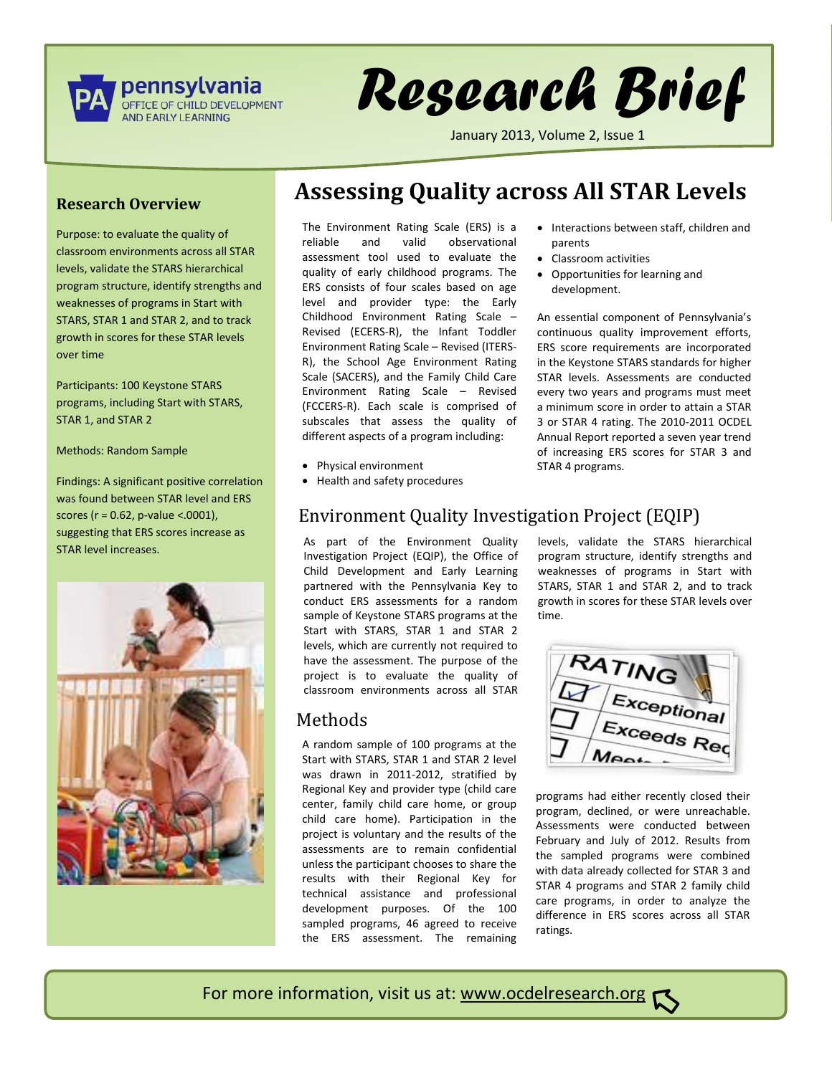

# *Research Brief*

January 2013, Volume 2, Issue 1

parents

Classroom activities

development.

STAR 4 programs.

Opportunities for learning and

#### **Research Overview**

Purpose: to evaluate the quality of classroom environments across all STAR levels, validate the STARS hierarchical program structure, identify strengths and weaknesses of programs in Start with STARS, STAR 1 and STAR 2, and to track growth in scores for these STAR levels over time

Participants: 100 Keystone STARS programs, including Start with STARS, STAR 1, and STAR 2

Methods: Random Sample

Findings: A significant positive correlation was found between STAR level and ERS scores (r = 0.62, p-value <.0001), suggesting that ERS scores increase as STAR level increases.



# **Assessing Quality across All STAR Levels**

The Environment Rating Scale (ERS) is a reliable and valid observational assessment tool used to evaluate the quality of early childhood programs. The ERS consists of four scales based on age level and provider type: the Early Childhood Environment Rating Scale – Revised (ECERS-R), the Infant Toddler Environment Rating Scale – Revised (ITERS-R), the School Age Environment Rating Scale (SACERS), and the Family Child Care Environment Rating Scale – Revised (FCCERS-R). Each scale is comprised of subscales that assess the quality of different aspects of a program including:

- Physical environment
- Health and safety procedures

## Environment Quality Investigation Project (EQIP)

As part of the Environment Quality Investigation Project (EQIP), the Office of Child Development and Early Learning partnered with the Pennsylvania Key to conduct ERS assessments for a random sample of Keystone STARS programs at the Start with STARS, STAR 1 and STAR 2 levels, which are currently not required to have the assessment. The purpose of the project is to evaluate the quality of classroom environments across all STAR

#### Methods

A random sample of 100 programs at the Start with STARS, STAR 1 and STAR 2 level was drawn in 2011-2012, stratified by Regional Key and provider type (child care center, family child care home, or group child care home). Participation in the project is voluntary and the results of the assessments are to remain confidential unless the participant chooses to share the results with their Regional Key for technical assistance and professional development purposes. Of the 100 sampled programs, 46 agreed to receive the ERS assessment. The remaining

levels, validate the STARS hierarchical program structure, identify strengths and weaknesses of programs in Start with STARS, STAR 1 and STAR 2, and to track growth in scores for these STAR levels over time.

• Interactions between staff, children and

An essential component of Pennsylvania's continuous quality improvement efforts, ERS score requirements are incorporated in the Keystone STARS standards for higher STAR levels. Assessments are conducted every two years and programs must meet a minimum score in order to attain a STAR 3 or STAR 4 rating. The 2010-2011 OCDEL Annual Report reported a seven year trend of increasing ERS scores for STAR 3 and



p[rograms had either recently closed their](http://www.google.com/imgres?q=environment+rating+scale&hl=en&tbo=d&biw=1680&bih=776&tbm=isch&tbnid=na65q22Q9Ju8DM:&imgrefurl=http://www.cornerstoneondemand.fr/blog?page=4&docid=TSiwR9W-H8Q2FM&imgurl=http://www.cornerstoneondemand.com/assets/images/BLOGS-8.17.2009.jpg&w=324&h=274&ei=xizsUMTVJOnm0gGcxoGICw&zoom=1&iact=hc&vpx=1013&vpy=425&dur=1404&hovh=206&hovw=244&tx=115&ty=108&sig=117032435971995100819&page=1&tbnh=143&tbnw=166&start=0&ndsp=41&ved=1t:429,r:26,s:0,i:170) program, declined, or were unreachable. Assessments were conducted between February and July of 2012. Results from the sampled programs were combined with data already collected for STAR 3 and STAR 4 programs and STAR 2 family child care programs, in order to analyze the difference in ERS scores across all STAR ratings.

For more information, visit us at: www.ocdelresearch.org